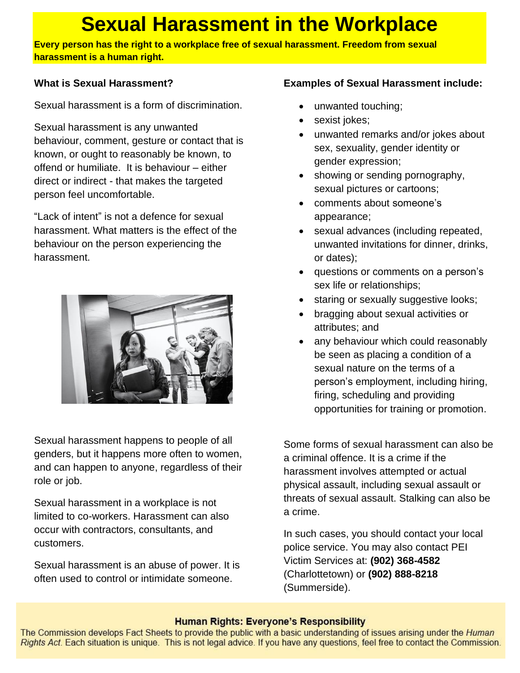# **Sexual Harassment in the Workplace**

**Every person has the right to a workplace free of sexual harassment. Freedom from sexual harassment is a human right.**

### **What is Sexual Harassment?**

Sexual harassment is a form of discrimination.

Sexual harassment is any unwanted behaviour, comment, gesture or contact that is known, or ought to reasonably be known, to offend or humiliate. It is behaviour – either direct or indirect - that makes the targeted person feel uncomfortable.

"Lack of intent" is not a defence for sexual harassment. What matters is the effect of the behaviour on the person experiencing the harassment.



Sexual harassment happens to people of all genders, but it happens more often to women, and can happen to anyone, regardless of their role or job.

Sexual harassment in a workplace is not limited to co-workers. Harassment can also occur with contractors, consultants, and customers.

Sexual harassment is an abuse of power. It is often used to control or intimidate someone.

# **Examples of Sexual Harassment include:**

- unwanted touching;
- sexist jokes;
- unwanted remarks and/or jokes about sex, sexuality, gender identity or gender expression;
- showing or sending pornography, sexual pictures or cartoons;
- comments about someone's appearance;
- sexual advances (including repeated, unwanted invitations for dinner, drinks, or dates);
- questions or comments on a person's sex life or relationships;
- staring or sexually suggestive looks;
- bragging about sexual activities or attributes; and
- any behaviour which could reasonably be seen as placing a condition of a sexual nature on the terms of a person's employment, including hiring, firing, scheduling and providing opportunities for training or promotion.

Some forms of sexual harassment can also be a criminal offence. It is a crime if the harassment involves attempted or actual physical assault, including sexual assault or threats of sexual assault. Stalking can also be a crime.

In such cases, you should contact your local police service. You may also contact PEI Victim Services at: **(902) 368-4582** (Charlottetown) or **(902) 888-8218** (Summerside).

#### **Human Rights: Everyone's Responsibility**

The Commission develops Fact Sheets to provide the public with a basic understanding of issues arising under the Human Rights Act. Each situation is unique. This is not legal advice. If you have any questions, feel free to contact the Commission.